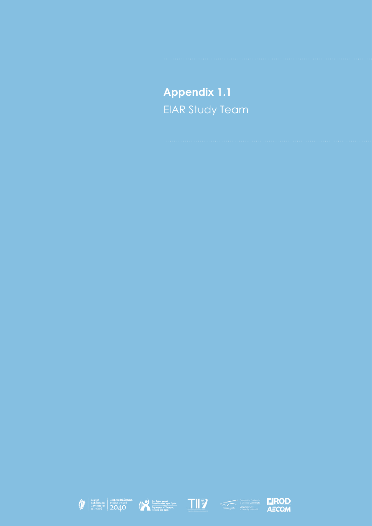## **Appendix 1.1** EIAR Study Team











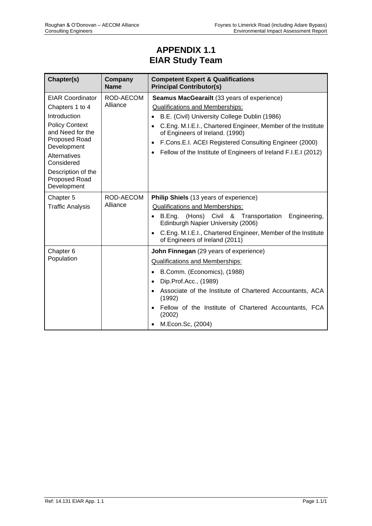## **APPENDIX 1.1 EIAR Study Team**

| Chapter(s)                                                                                              | Company<br><b>Name</b>                                                      | <b>Competent Expert &amp; Qualifications</b><br><b>Principal Contributor(s)</b>                              |
|---------------------------------------------------------------------------------------------------------|-----------------------------------------------------------------------------|--------------------------------------------------------------------------------------------------------------|
| <b>EIAR Coordinator</b>                                                                                 | ROD-AECOM<br>Alliance                                                       | Seamus MacGearailt (33 years of experience)                                                                  |
| Chapters 1 to 4                                                                                         |                                                                             | <b>Qualifications and Memberships:</b>                                                                       |
| Introduction                                                                                            |                                                                             | B.E. (Civil) University College Dublin (1986)                                                                |
| <b>Policy Context</b><br>and Need for the<br>Proposed Road<br>Development<br>Alternatives<br>Considered |                                                                             | C.Eng. M.I.E.I., Chartered Engineer, Member of the Institute<br>$\bullet$<br>of Engineers of Ireland. (1990) |
|                                                                                                         |                                                                             | F.Cons.E.I. ACEI Registered Consulting Engineer (2000)<br>$\bullet$                                          |
|                                                                                                         | Fellow of the Institute of Engineers of Ireland F.I.E.I (2012)<br>$\bullet$ |                                                                                                              |
| Description of the<br>Proposed Road<br>Development                                                      |                                                                             |                                                                                                              |
| Chapter 5<br><b>Traffic Analysis</b>                                                                    | ROD-AECOM<br>Alliance                                                       | Philip Shiels (13 years of experience)                                                                       |
|                                                                                                         |                                                                             | <b>Qualifications and Memberships:</b>                                                                       |
|                                                                                                         |                                                                             | • B.Eng. (Hons) Civil & Transportation<br>Engineering,<br>Edinburgh Napier University (2006)                 |
|                                                                                                         |                                                                             | C.Eng. M.I.E.I., Chartered Engineer, Member of the Institute<br>of Engineers of Ireland (2011)               |
| Chapter <sub>6</sub><br>Population                                                                      |                                                                             | John Finnegan (29 years of experience)                                                                       |
|                                                                                                         |                                                                             | <b>Qualifications and Memberships:</b>                                                                       |
|                                                                                                         |                                                                             | B.Comm. (Economics), (1988)<br>$\bullet$                                                                     |
|                                                                                                         |                                                                             | Dip.Prof.Acc., (1989)<br>$\bullet$                                                                           |
|                                                                                                         |                                                                             | Associate of the Institute of Chartered Accountants, ACA<br>(1992)                                           |
|                                                                                                         |                                                                             | Fellow of the Institute of Chartered Accountants, FCA<br>(2002)                                              |
|                                                                                                         |                                                                             | M.Econ.Sc, (2004)                                                                                            |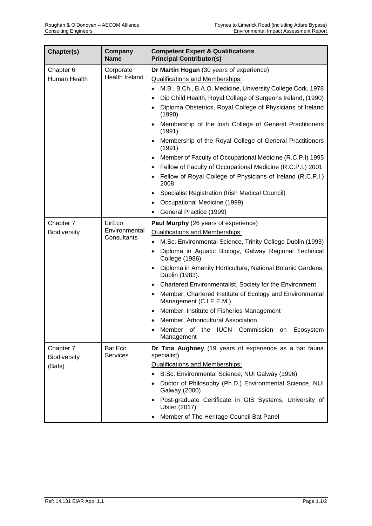| Chapter(s)                                 | Company<br><b>Name</b>     | <b>Competent Expert &amp; Qualifications</b><br><b>Principal Contributor(s)</b>                  |
|--------------------------------------------|----------------------------|--------------------------------------------------------------------------------------------------|
| Chapter 6                                  | Corporate                  | Dr Martin Hogan (30 years of experience)                                                         |
| Human Health                               | Health Ireland             | <b>Qualifications and Memberships:</b>                                                           |
|                                            |                            | M.B., B.Ch., B.A.O. Medicine, University College Cork, 1978<br>$\bullet$                         |
|                                            |                            | Dip Child Health, Royal College of Surgeons Ireland, (1990)<br>$\bullet$                         |
|                                            |                            | Diploma Obstetrics, Royal College of Physicians of Ireland<br>(1990)                             |
|                                            |                            | Membership of the Irish College of General Practitioners<br>$\bullet$<br>(1991)                  |
|                                            |                            | Membership of the Royal College of General Practitioners<br>$\bullet$<br>(1991)                  |
|                                            |                            | Member of Faculty of Occupational Medicine (R.C.P.I) 1995                                        |
|                                            |                            | Fellow of Faculty of Occupational Medicine (R.C.P.I.) 2001<br>$\bullet$                          |
|                                            |                            | Fellow of Royal College of Physicians of Ireland (R.C.P.I.)<br>2008                              |
|                                            |                            | <b>Specialist Registration (Irish Medical Council)</b><br>$\bullet$                              |
|                                            |                            | Occupational Medicine (1999)                                                                     |
|                                            |                            | General Practice (1999)<br>٠                                                                     |
| Chapter 7                                  | EirEco                     | Paul Murphy (26 years of experience)                                                             |
| Biodiversity                               | Environmental              | <b>Qualifications and Memberships:</b>                                                           |
|                                            | Consultants                | M.Sc. Environmental Science, Trinity College Dublin (1993)<br>$\bullet$                          |
|                                            |                            | Diploma in Aquatic Biology, Galway Regional Technical<br>$\bullet$<br><b>College (1986)</b>      |
|                                            |                            | Diploma in Amenity Horticulture, National Botanic Gardens,<br>$\bullet$<br>Dublin (1983).        |
|                                            |                            | Chartered Environmentalist, Society for the Environment<br>$\bullet$                             |
|                                            |                            | Member, Chartered Institute of Ecology and Environmental<br>$\bullet$<br>Management (C.I.E.E.M.) |
|                                            |                            | Member, Institute of Fisheries Management                                                        |
|                                            |                            | Member, Arboricultural Association<br>$\bullet$                                                  |
|                                            |                            | Member of the IUCN Commission<br>Ecosystem<br>on<br>Management                                   |
| Chapter 7<br><b>Biodiversity</b><br>(Bats) | Bat Eco<br><b>Services</b> | Dr Tina Aughney (19 years of experience as a bat fauna<br>specialist)                            |
|                                            |                            | <b>Qualifications and Memberships:</b>                                                           |
|                                            |                            | B.Sc. Environmental Science, NUI Galway (1996)<br>$\bullet$                                      |
|                                            |                            | Doctor of Philosophy (Ph.D.) Environmental Science, NUI<br><b>Galway (2000)</b>                  |
|                                            |                            | Post-graduate Certificate in GIS Systems, University of<br>$\bullet$<br><b>Ulster (2017)</b>     |
|                                            |                            | Member of The Heritage Council Bat Panel                                                         |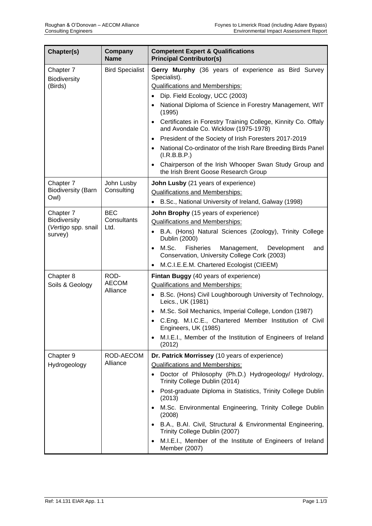| Chapter(s)                       | Company<br><b>Name</b>            | <b>Competent Expert &amp; Qualifications</b><br><b>Principal Contributor(s)</b>                                      |
|----------------------------------|-----------------------------------|----------------------------------------------------------------------------------------------------------------------|
| Chapter 7<br><b>Biodiversity</b> | <b>Bird Specialist</b>            | Gerry Murphy (36 years of experience as Bird Survey<br>Specialist).                                                  |
| (Birds)                          |                                   | Qualifications and Memberships:                                                                                      |
|                                  |                                   | Dip. Field Ecology, UCC (2003)                                                                                       |
|                                  |                                   | National Diploma of Science in Forestry Management, WIT<br>(1995)                                                    |
|                                  |                                   | Certificates in Forestry Training College, Kinnity Co. Offaly<br>$\bullet$<br>and Avondale Co. Wicklow (1975-1978)   |
|                                  |                                   | President of the Society of Irish Foresters 2017-2019<br>$\bullet$                                                   |
|                                  |                                   | National Co-ordinator of the Irish Rare Breeding Birds Panel<br>$\bullet$<br>(I.R.B.B.P.)                            |
|                                  |                                   | Chairperson of the Irish Whooper Swan Study Group and<br>$\bullet$<br>the Irish Brent Goose Research Group           |
| Chapter 7                        | John Lusby<br>Consulting          | John Lusby (21 years of experience)                                                                                  |
| <b>Biodiversity (Barn</b>        |                                   | <b>Qualifications and Memberships:</b>                                                                               |
| Owl)                             |                                   | B.Sc., National University of Ireland, Galway (1998)                                                                 |
| Chapter 7                        | <b>BEC</b><br>Consultants<br>Ltd. | John Brophy (15 years of experience)                                                                                 |
| <b>Biodiversity</b>              |                                   | <b>Qualifications and Memberships:</b>                                                                               |
| (Vertigo spp. snail<br>survey)   |                                   | B.A. (Hons) Natural Sciences (Zoology), Trinity College<br>$\bullet$<br>Dublin (2000)                                |
|                                  |                                   | M.Sc.<br>Fisheries<br>Management,<br>Development<br>and<br>$\bullet$<br>Conservation, University College Cork (2003) |
|                                  |                                   | M.C.I.E.E.M. Chartered Ecologist (CIEEM)<br>$\bullet$                                                                |
| Chapter 8                        | ROD-<br><b>AECOM</b><br>Alliance  | Fintan Buggy (40 years of experience)                                                                                |
| Soils & Geology                  |                                   | <b>Qualifications and Memberships:</b>                                                                               |
|                                  |                                   | B.Sc. (Hons) Civil Loughborough University of Technology,<br>$\bullet$<br>Leics., UK (1981)                          |
|                                  |                                   | M.Sc. Soil Mechanics, Imperial College, London (1987)                                                                |
|                                  |                                   | C.Eng. M.I.C.E., Chartered Member Institution of Civil<br>Engineers, UK (1985)                                       |
|                                  |                                   | M.I.E.I., Member of the Institution of Engineers of Ireland<br>$\bullet$<br>(2012)                                   |
| Chapter 9                        | ROD-AECOM<br>Alliance             | Dr. Patrick Morrissey (10 years of experience)                                                                       |
| Hydrogeology                     |                                   | <b>Qualifications and Memberships:</b>                                                                               |
|                                  |                                   | Doctor of Philosophy (Ph.D.) Hydrogeology/ Hydrology,<br>$\bullet$<br>Trinity College Dublin (2014)                  |
|                                  |                                   | Post-graduate Diploma in Statistics, Trinity College Dublin<br>$\bullet$<br>(2013)                                   |
|                                  |                                   | M.Sc. Environmental Engineering, Trinity College Dublin<br>$\bullet$<br>(2008)                                       |
|                                  |                                   | B.A., B.AI. Civil, Structural & Environmental Engineering,<br>$\bullet$<br>Trinity College Dublin (2007)             |
|                                  |                                   | M.I.E.I., Member of the Institute of Engineers of Ireland<br>$\bullet$<br>Member (2007)                              |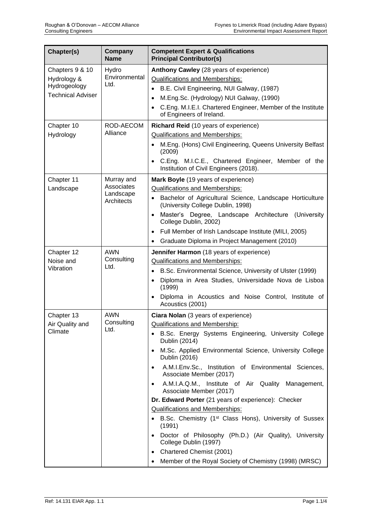| Chapter(s)                                                                 | Company<br><b>Name</b>                              | <b>Competent Expert &amp; Qualifications</b><br><b>Principal Contributor(s)</b>                                                                                                                                                                                                                                                                                                                                                                                                                                                                                                                                                                                                                                                                                                                                                          |
|----------------------------------------------------------------------------|-----------------------------------------------------|------------------------------------------------------------------------------------------------------------------------------------------------------------------------------------------------------------------------------------------------------------------------------------------------------------------------------------------------------------------------------------------------------------------------------------------------------------------------------------------------------------------------------------------------------------------------------------------------------------------------------------------------------------------------------------------------------------------------------------------------------------------------------------------------------------------------------------------|
| Chapters 9 & 10<br>Hydrology &<br>Hydrogeology<br><b>Technical Adviser</b> | Hydro<br>Environmental<br>Ltd.                      | Anthony Cawley (28 years of experience)<br><b>Qualifications and Memberships:</b><br>B.E. Civil Engineering, NUI Galway, (1987)<br>M.Eng.Sc. (Hydrology) NUI Galway, (1990)<br>$\bullet$<br>C.Eng. M.I.E.I. Chartered Engineer, Member of the Institute<br>$\bullet$<br>of Engineers of Ireland.                                                                                                                                                                                                                                                                                                                                                                                                                                                                                                                                         |
| Chapter 10<br>Hydrology                                                    | ROD-AECOM<br>Alliance                               | Richard Reid (10 years of experience)<br><b>Qualifications and Memberships:</b><br>M.Eng. (Hons) Civil Engineering, Queens University Belfast<br>$\bullet$<br>(2009)<br>C.Eng. M.I.C.E., Chartered Engineer, Member of the<br>Institution of Civil Engineers (2018).                                                                                                                                                                                                                                                                                                                                                                                                                                                                                                                                                                     |
| Chapter 11<br>Landscape                                                    | Murray and<br>Associates<br>Landscape<br>Architects | Mark Boyle (19 years of experience)<br><b>Qualifications and Memberships:</b><br>Bachelor of Agricultural Science, Landscape Horticulture<br>$\bullet$<br>(University College Dublin, 1998)<br>Master's Degree, Landscape Architecture (University<br>$\bullet$<br>College Dublin, 2002)<br>Full Member of Irish Landscape Institute (MILI, 2005)<br>Graduate Diploma in Project Management (2010)<br>$\bullet$                                                                                                                                                                                                                                                                                                                                                                                                                          |
| Chapter 12<br>Noise and<br>Vibration                                       | <b>AWN</b><br>Consulting<br>Ltd.                    | Jennifer Harmon (18 years of experience)<br><b>Qualifications and Memberships:</b><br>B.Sc. Environmental Science, University of Ulster (1999)<br>$\bullet$<br>Diploma in Area Studies, Universidade Nova de Lisboa<br>$\bullet$<br>(1999)<br>Diploma in Acoustics and Noise Control, Institute of<br>$\bullet$<br>Acoustics (2001)                                                                                                                                                                                                                                                                                                                                                                                                                                                                                                      |
| Chapter 13<br>Air Quality and<br>Climate                                   | <b>AWN</b><br>Consulting<br>Ltd.                    | Ciara Nolan (3 years of experience)<br><b>Qualifications and Membership:</b><br>B.Sc. Energy Systems Engineering, University College<br>٠<br>Dublin (2014)<br>M.Sc. Applied Environmental Science, University College<br>$\bullet$<br>Dublin (2016)<br>A.M.I.Env.Sc., Institution of Environmental Sciences,<br>$\bullet$<br>Associate Member (2017)<br>A.M.I.A.Q.M., Institute of Air Quality Management,<br>$\bullet$<br>Associate Member (2017)<br>Dr. Edward Porter (21 years of experience): Checker<br><b>Qualifications and Memberships:</b><br>• B.Sc. Chemistry (1 <sup>st</sup> Class Hons), University of Sussex<br>(1991)<br>Doctor of Philosophy (Ph.D.) (Air Quality), University<br>$\bullet$<br>College Dublin (1997)<br>Chartered Chemist (2001)<br>$\bullet$<br>Member of the Royal Society of Chemistry (1998) (MRSC) |